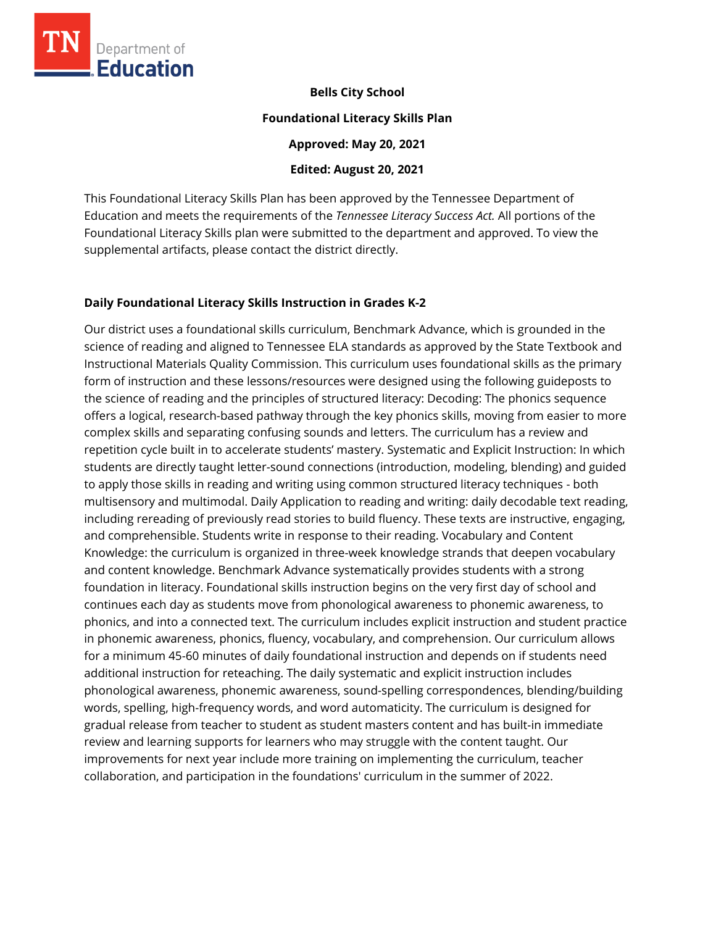

**Bells City School** 

#### **Foundational Literacy Skills Plan**

**Approved: May 20, 2021** 

**Edited: August 20, 2021**

This Foundational Literacy Skills Plan has been approved by the Tennessee Department of Education and meets the requirements of the *Tennessee Literacy Success Act.* All portions of the Foundational Literacy Skills plan were submitted to the department and approved. To view the supplemental artifacts, please contact the district directly.

### **Daily Foundational Literacy Skills Instruction in Grades K-2**

Our district uses a foundational skills curriculum, Benchmark Advance, which is grounded in the science of reading and aligned to Tennessee ELA standards as approved by the State Textbook and Instructional Materials Quality Commission. This curriculum uses foundational skills as the primary form of instruction and these lessons/resources were designed using the following guideposts to the science of reading and the principles of structured literacy: Decoding: The phonics sequence offers a logical, research-based pathway through the key phonics skills, moving from easier to more complex skills and separating confusing sounds and letters. The curriculum has a review and repetition cycle built in to accelerate students' mastery. Systematic and Explicit Instruction: In which students are directly taught letter-sound connections (introduction, modeling, blending) and guided to apply those skills in reading and writing using common structured literacy techniques - both multisensory and multimodal. Daily Application to reading and writing: daily decodable text reading, including rereading of previously read stories to build fluency. These texts are instructive, engaging, and comprehensible. Students write in response to their reading. Vocabulary and Content Knowledge: the curriculum is organized in three-week knowledge strands that deepen vocabulary and content knowledge. Benchmark Advance systematically provides students with a strong foundation in literacy. Foundational skills instruction begins on the very first day of school and continues each day as students move from phonological awareness to phonemic awareness, to phonics, and into a connected text. The curriculum includes explicit instruction and student practice in phonemic awareness, phonics, fluency, vocabulary, and comprehension. Our curriculum allows for a minimum 45-60 minutes of daily foundational instruction and depends on if students need additional instruction for reteaching. The daily systematic and explicit instruction includes phonological awareness, phonemic awareness, sound-spelling correspondences, blending/building words, spelling, high-frequency words, and word automaticity. The curriculum is designed for gradual release from teacher to student as student masters content and has built-in immediate review and learning supports for learners who may struggle with the content taught. Our improvements for next year include more training on implementing the curriculum, teacher collaboration, and participation in the foundations' curriculum in the summer of 2022.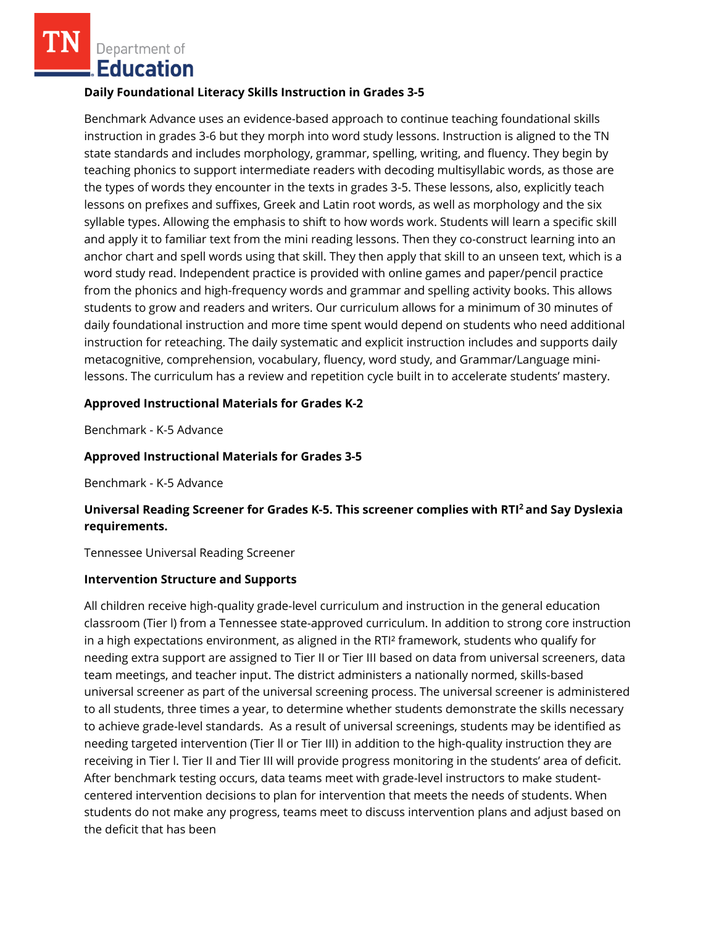Department of **Education** 

### **Daily Foundational Literacy Skills Instruction in Grades 3-5**

Benchmark Advance uses an evidence-based approach to continue teaching foundational skills instruction in grades 3-6 but they morph into word study lessons. Instruction is aligned to the TN state standards and includes morphology, grammar, spelling, writing, and fluency. They begin by teaching phonics to support intermediate readers with decoding multisyllabic words, as those are the types of words they encounter in the texts in grades 3-5. These lessons, also, explicitly teach lessons on prefixes and suffixes, Greek and Latin root words, as well as morphology and the six syllable types. Allowing the emphasis to shift to how words work. Students will learn a specific skill and apply it to familiar text from the mini reading lessons. Then they co-construct learning into an anchor chart and spell words using that skill. They then apply that skill to an unseen text, which is a word study read. Independent practice is provided with online games and paper/pencil practice from the phonics and high-frequency words and grammar and spelling activity books. This allows students to grow and readers and writers. Our curriculum allows for a minimum of 30 minutes of daily foundational instruction and more time spent would depend on students who need additional instruction for reteaching. The daily systematic and explicit instruction includes and supports daily metacognitive, comprehension, vocabulary, fluency, word study, and Grammar/Language minilessons. The curriculum has a review and repetition cycle built in to accelerate students' mastery.

### **Approved Instructional Materials for Grades K-2**

Benchmark - K-5 Advance

### **Approved Instructional Materials for Grades 3-5**

Benchmark - K-5 Advance

# **Universal Reading Screener for Grades K-5. This screener complies with RTI<sup>2</sup>and Say Dyslexia requirements.**

Tennessee Universal Reading Screener

#### **Intervention Structure and Supports**

All children receive high-quality grade-level curriculum and instruction in the general education classroom (Tier l) from a Tennessee state-approved curriculum. In addition to strong core instruction in a high expectations environment, as aligned in the RTI² framework, students who qualify for needing extra support are assigned to Tier II or Tier III based on data from universal screeners, data team meetings, and teacher input. The district administers a nationally normed, skills-based universal screener as part of the universal screening process. The universal screener is administered to all students, three times a year, to determine whether students demonstrate the skills necessary to achieve grade-level standards. As a result of universal screenings, students may be identified as needing targeted intervention (Tier ll or Tier III) in addition to the high-quality instruction they are receiving in Tier l. Tier II and Tier III will provide progress monitoring in the students' area of deficit. After benchmark testing occurs, data teams meet with grade-level instructors to make studentcentered intervention decisions to plan for intervention that meets the needs of students. When students do not make any progress, teams meet to discuss intervention plans and adjust based on the deficit that has been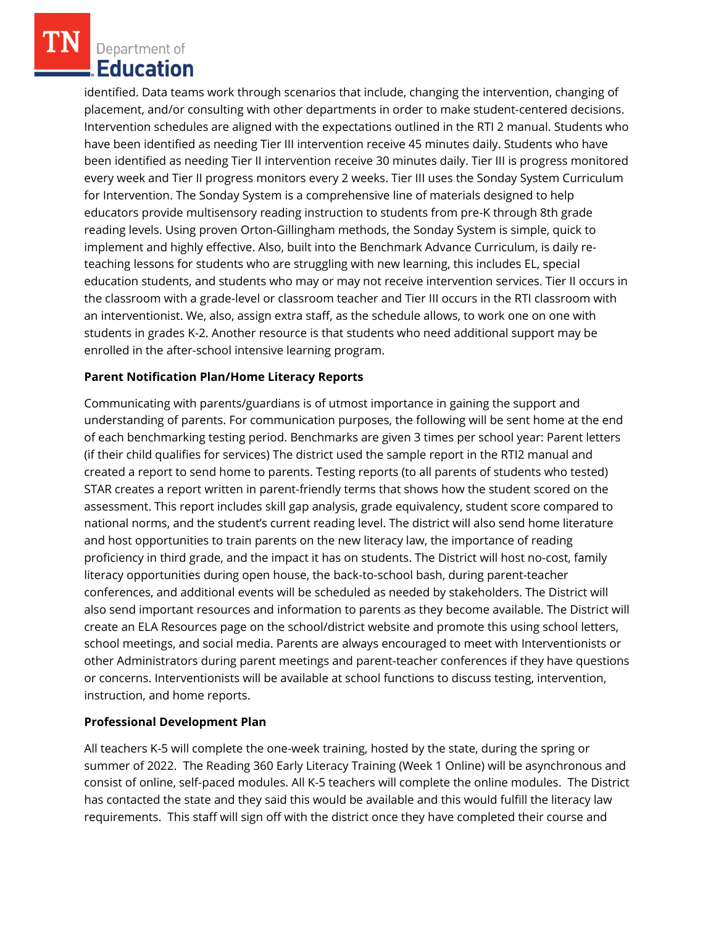Department of Education

identified. Data teams work through scenarios that include, changing the intervention, changing of placement, and/or consulting with other departments in order to make student-centered decisions. Intervention schedules are aligned with the expectations outlined in the RTI 2 manual. Students who have been identified as needing Tier III intervention receive 45 minutes daily. Students who have been identified as needing Tier II intervention receive 30 minutes daily. Tier III is progress monitored every week and Tier II progress monitors every 2 weeks. Tier III uses the Sonday System Curriculum for Intervention. The Sonday System is a comprehensive line of materials designed to help educators provide multisensory reading instruction to students from pre-K through 8th grade reading levels. Using proven Orton-Gillingham methods, the Sonday System is simple, quick to implement and highly effective. Also, built into the Benchmark Advance Curriculum, is daily reteaching lessons for students who are struggling with new learning, this includes EL, special education students, and students who may or may not receive intervention services. Tier II occurs in the classroom with a grade-level or classroom teacher and Tier III occurs in the RTI classroom with an interventionist. We, also, assign extra staff, as the schedule allows, to work one on one with students in grades K-2. Another resource is that students who need additional support may be enrolled in the after-school intensive learning program.

# **Parent Notification Plan/Home Literacy Reports**

Communicating with parents/guardians is of utmost importance in gaining the support and understanding of parents. For communication purposes, the following will be sent home at the end of each benchmarking testing period. Benchmarks are given 3 times per school year: Parent letters (if their child qualifies for services) The district used the sample report in the RTI2 manual and created a report to send home to parents. Testing reports (to all parents of students who tested) STAR creates a report written in parent-friendly terms that shows how the student scored on the assessment. This report includes skill gap analysis, grade equivalency, student score compared to national norms, and the student's current reading level. The district will also send home literature and host opportunities to train parents on the new literacy law, the importance of reading proficiency in third grade, and the impact it has on students. The District will host no-cost, family literacy opportunities during open house, the back-to-school bash, during parent-teacher conferences, and additional events will be scheduled as needed by stakeholders. The District will also send important resources and information to parents as they become available. The District will create an ELA Resources page on the school/district website and promote this using school letters, school meetings, and social media. Parents are always encouraged to meet with Interventionists or other Administrators during parent meetings and parent-teacher conferences if they have questions or concerns. Interventionists will be available at school functions to discuss testing, intervention, instruction, and home reports.

# **Professional Development Plan**

All teachers K-5 will complete the one-week training, hosted by the state, during the spring or summer of 2022. The Reading 360 Early Literacy Training (Week 1 Online) will be asynchronous and consist of online, self-paced modules. All K-5 teachers will complete the online modules. The District has contacted the state and they said this would be available and this would fulfill the literacy law requirements. This staff will sign off with the district once they have completed their course and